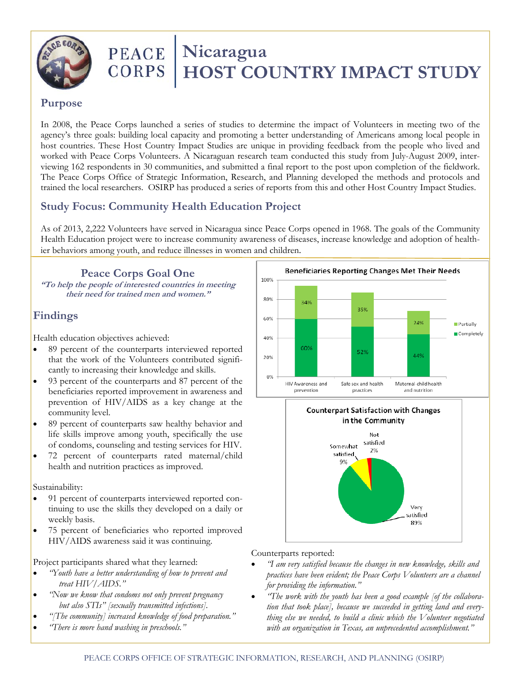

# PEACE | Nicaragua **CORPS | HOST COUNTRY IMPACT STUDY**

## **Purpose**

In 2008, the Peace Corps launched a series of studies to determine the impact of Volunteers in meeting two of the agency's three goals: building local capacity and promoting a better understanding of Americans among local people in host countries. These Host Country Impact Studies are unique in providing feedback from the people who lived and worked with Peace Corps Volunteers. A Nicaraguan research team conducted this study from July-August 2009, interviewing 162 respondents in 30 communities, and submitted a final report to the post upon completion of the fieldwork. The Peace Corps Office of Strategic Information, Research, and Planning developed the methods and protocols and trained the local researchers. OSIRP has produced a series of reports from this and other Host Country Impact Studies.

# **Study Focus: Community Health Education Project**

As of 2013, 2,222 Volunteers have served in Nicaragua since Peace Corps opened in 1968. The goals of the Community Health Education project were to increase community awareness of diseases, increase knowledge and adoption of healthier behaviors among youth, and reduce illnesses in women and children.

**Peace Corps Goal One "To help the people of interested countries in meeting their need for trained men and women."** 

## **Findings**

Health education objectives achieved:

- 89 percent of the counterparts interviewed reported that the work of the Volunteers contributed significantly to increasing their knowledge and skills.
- 93 percent of the counterparts and 87 percent of the beneficiaries reported improvement in awareness and prevention of HIV/AIDS as a key change at the community level.
- 89 percent of counterparts saw healthy behavior and life skills improve among youth, specifically the use of condoms, counseling and testing services for HIV.
- 72 percent of counterparts rated maternal/child health and nutrition practices as improved.

Sustainability:

- 91 percent of counterparts interviewed reported continuing to use the skills they developed on a daily or weekly basis.
- 75 percent of beneficiaries who reported improved HIV/AIDS awareness said it was continuing.

Project participants shared what they learned:

- *"Youth have a better understanding of how to prevent and treat HIV/AIDS."*
- *"Now we know that condoms not only prevent pregnancy but also STIs" [sexually transmitted infections].*
- *"[The community] increased knowledge of food preparation."*
- *"There is more hand washing in preschools."*





#### Counterparts reported:

- *"I am very satisfied because the changes in new knowledge, skills and practices have been evident; the Peace Corps Volunteers are a channel for providing the information."*
- *"The work with the youth has been a good example [of the collaboration that took place], because we succeeded in getting land and everything else we needed, to build a clinic which the Volunteer negotiated with an organization in Texas, an unprecedented accomplishment."*